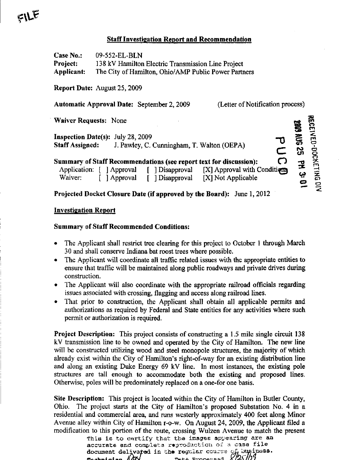## Staff Investigation Report and Recommendation

| Case No.:                    | 09-552-EL-BLN                                        |                                                                   |                                                                        |                                                              |
|------------------------------|------------------------------------------------------|-------------------------------------------------------------------|------------------------------------------------------------------------|--------------------------------------------------------------|
| Project:                     | 138 kV Hamilton Electric Transmission Line Project   |                                                                   |                                                                        |                                                              |
| Applicant:                   | The City of Hamilton, Ohio/AMP Public Power Partners |                                                                   |                                                                        |                                                              |
|                              | <b>Report Date: August 25, 2009</b>                  |                                                                   |                                                                        |                                                              |
|                              |                                                      | Automatic Approval Date: September 2, 2009                        | (Letter of Notification process)                                       |                                                              |
| <b>Waiver Requests: None</b> |                                                      |                                                                   |                                                                        | <b>RECEIVED-DOCKETING DIV</b><br><b>2009 AUG 25 PM 3: 01</b> |
|                              | <b>Inspection Date(s):</b> July 28, 2009             |                                                                   |                                                                        |                                                              |
|                              |                                                      | <b>Staff Assigned:</b> J. Pawley, C. Cunningham, T. Walton (OEPA) |                                                                        | C                                                            |
|                              |                                                      |                                                                   | Summary of Staff Recommendations (see report text for discussion):     | $\mathbf C$                                                  |
|                              |                                                      |                                                                   | Application: [ ] Approval [ ] Disapproval [X] Approval with Conditions |                                                              |
| Waiver:                      |                                                      |                                                                   | [ ] Approval [ ] Disapproval [X] Not Applicable                        |                                                              |
|                              |                                                      |                                                                   | Projected Docket Closure Date (if approved by the Board): June 1, 2012 |                                                              |

## Investigation Report

## Summary of Staff Recommended Conditions:

- The Applicant shall restrict tree clearing for this project to October 1 through March 30 and shall conserve Indiana bat roost trees where possible.
- The Applicant will coordinate all traffic related issues with the appropriate entities to ensure that traffic will be maintained along public roadways and private drives during construction.
- The Applicant will also coordinate with the appropriate railroad officials regarding issues associated with crossing, flagging and access along railroad lines.
- That prior to construction, the Applicant shall obtain all applicable permits and authorizations as required by Federal and State entities for any activities where such permit or authorization is required.

Project Description: This project consists of constructing a 1.5 mile single circuit 138 kV transmission line to be ovmed and operated by the City of Hamilton. The new line will be constructed utilizing wood and steel monopole structures, the majority of which already exist within the City of Hamilton's right-of-way for an existing distribution line and along an existing Duke Energy 69 kV line. In most instances, the existing pole structures are tall enough to accommodate both the existing and proposed lines. Otherwise, poles will be predominately replaced on a one-for one basis.

Site Description: This project is located within the City of Hamilton in Butler County, Ohio. The project starts at the City of Hamilton's proposed Substation No. 4 in a residential and commercial area, and runs westerly approximately 400 feet along Minor Avenue alley within City of Hamilton r-o-w. On August 24, 2009, the Applicant filed a modification to this portion of the route, crossing Wulzen Avenue to match the present

This is to certify that the images appearing are an accurate and complete reproduction of a case file document deliveted in the regular course of business.<br>Technician  $\frac{\partial N}{\partial s}$